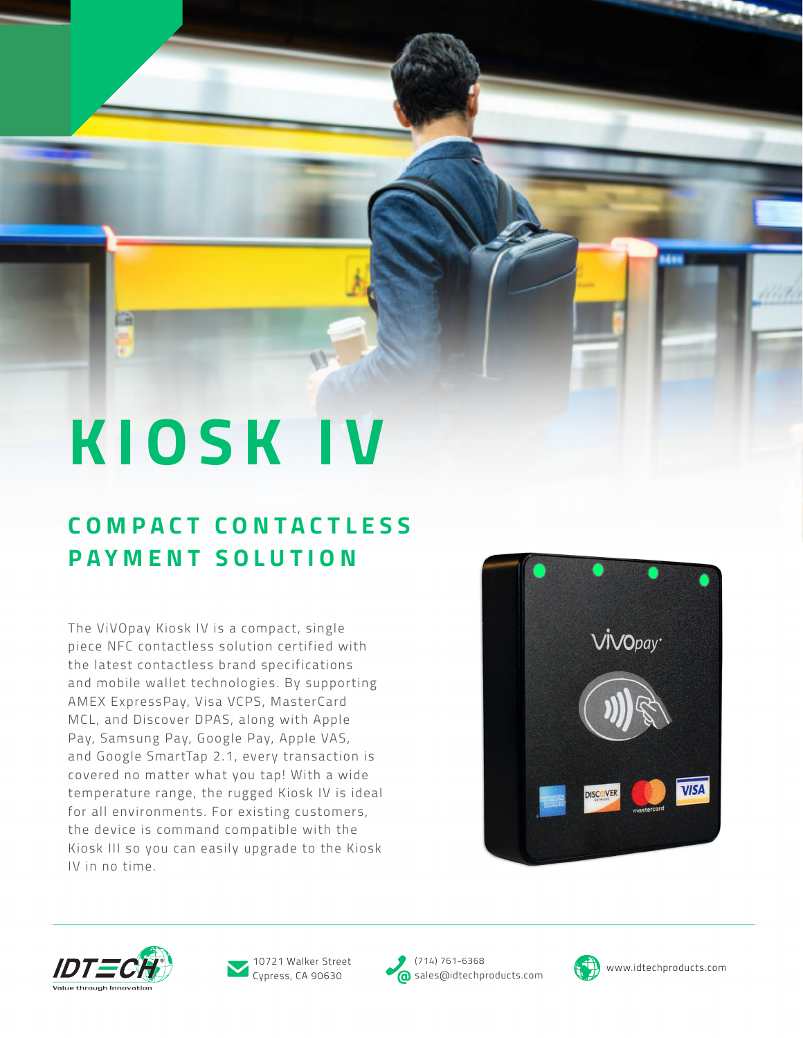# **KIOSK IV**

# **C O M P A C T C O N T A C T L E S S PAYMENT SOLUTION**

The ViVOpay Kiosk IV is a compact, single piece NFC contactless solution certified with the latest contactless brand specifications and mobile wallet technologies. By supporting AMEX ExpressPay, Visa VCPS, MasterCard MCL, and Discover DPAS, along with Apple Pay, Samsung Pay, Google Pay, Apple VAS, and Google SmartTap 2.1, every transaction is covered no matter what you tap! With a wide temperature range, the rugged Kiosk IV is ideal for all environments. For existing customers, the device is command compatible with the Kiosk III so you can easily upgrade to the Kiosk IV in no time.







Cypress, CA 90630